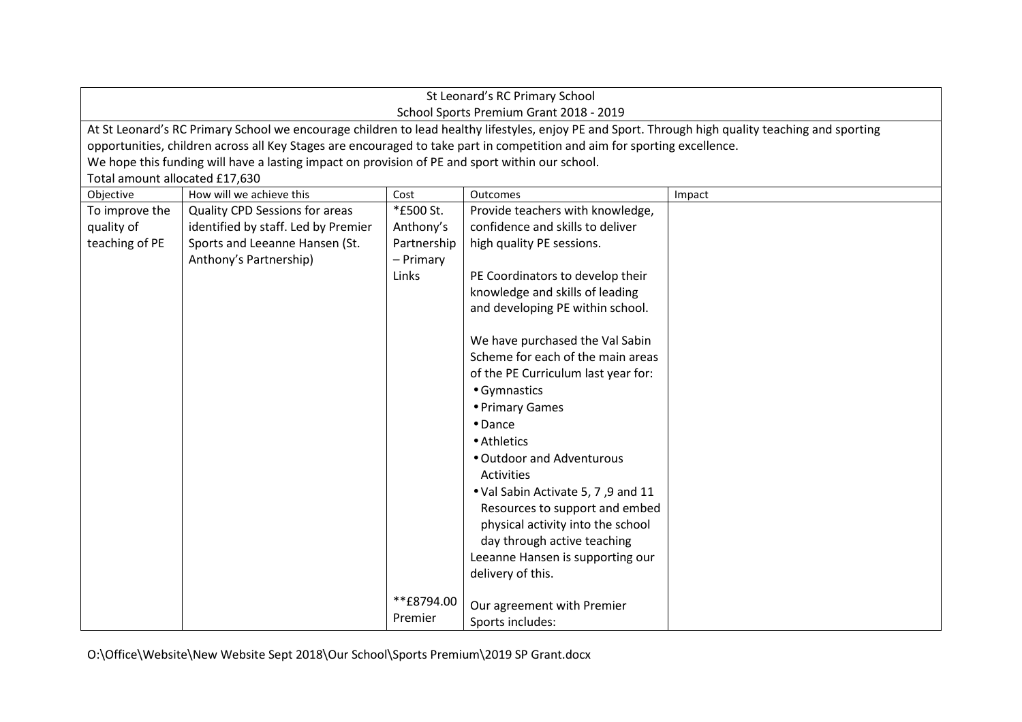| St Leonard's RC Primary School                                                                                                                                                                                                                                                  |                                                                                                 |             |                                     |        |  |
|---------------------------------------------------------------------------------------------------------------------------------------------------------------------------------------------------------------------------------------------------------------------------------|-------------------------------------------------------------------------------------------------|-------------|-------------------------------------|--------|--|
| School Sports Premium Grant 2018 - 2019                                                                                                                                                                                                                                         |                                                                                                 |             |                                     |        |  |
| At St Leonard's RC Primary School we encourage children to lead healthy lifestyles, enjoy PE and Sport. Through high quality teaching and sporting<br>opportunities, children across all Key Stages are encouraged to take part in competition and aim for sporting excellence. |                                                                                                 |             |                                     |        |  |
|                                                                                                                                                                                                                                                                                 | We hope this funding will have a lasting impact on provision of PE and sport within our school. |             |                                     |        |  |
| Total amount allocated £17,630                                                                                                                                                                                                                                                  |                                                                                                 |             |                                     |        |  |
| Objective                                                                                                                                                                                                                                                                       | How will we achieve this                                                                        | Cost        | Outcomes                            | Impact |  |
| To improve the                                                                                                                                                                                                                                                                  | <b>Quality CPD Sessions for areas</b>                                                           | *£500 St.   | Provide teachers with knowledge,    |        |  |
| quality of                                                                                                                                                                                                                                                                      | identified by staff. Led by Premier                                                             | Anthony's   | confidence and skills to deliver    |        |  |
| teaching of PE                                                                                                                                                                                                                                                                  | Sports and Leeanne Hansen (St.                                                                  | Partnership | high quality PE sessions.           |        |  |
|                                                                                                                                                                                                                                                                                 | Anthony's Partnership)                                                                          | - Primary   |                                     |        |  |
|                                                                                                                                                                                                                                                                                 |                                                                                                 | Links       | PE Coordinators to develop their    |        |  |
|                                                                                                                                                                                                                                                                                 |                                                                                                 |             | knowledge and skills of leading     |        |  |
|                                                                                                                                                                                                                                                                                 |                                                                                                 |             | and developing PE within school.    |        |  |
|                                                                                                                                                                                                                                                                                 |                                                                                                 |             |                                     |        |  |
|                                                                                                                                                                                                                                                                                 |                                                                                                 |             | We have purchased the Val Sabin     |        |  |
|                                                                                                                                                                                                                                                                                 |                                                                                                 |             | Scheme for each of the main areas   |        |  |
|                                                                                                                                                                                                                                                                                 |                                                                                                 |             | of the PE Curriculum last year for: |        |  |
|                                                                                                                                                                                                                                                                                 |                                                                                                 |             | • Gymnastics                        |        |  |
|                                                                                                                                                                                                                                                                                 |                                                                                                 |             | • Primary Games                     |        |  |
|                                                                                                                                                                                                                                                                                 |                                                                                                 |             | $\bullet$ Dance                     |        |  |
|                                                                                                                                                                                                                                                                                 |                                                                                                 |             | • Athletics                         |        |  |
|                                                                                                                                                                                                                                                                                 |                                                                                                 |             | . Outdoor and Adventurous           |        |  |
|                                                                                                                                                                                                                                                                                 |                                                                                                 |             | Activities                          |        |  |
|                                                                                                                                                                                                                                                                                 |                                                                                                 |             | • Val Sabin Activate 5, 7, 9 and 11 |        |  |
|                                                                                                                                                                                                                                                                                 |                                                                                                 |             | Resources to support and embed      |        |  |
|                                                                                                                                                                                                                                                                                 |                                                                                                 |             | physical activity into the school   |        |  |
|                                                                                                                                                                                                                                                                                 |                                                                                                 |             | day through active teaching         |        |  |
|                                                                                                                                                                                                                                                                                 |                                                                                                 |             | Leeanne Hansen is supporting our    |        |  |
|                                                                                                                                                                                                                                                                                 |                                                                                                 |             | delivery of this.                   |        |  |
|                                                                                                                                                                                                                                                                                 |                                                                                                 |             |                                     |        |  |
|                                                                                                                                                                                                                                                                                 |                                                                                                 | **£8794.00  | Our agreement with Premier          |        |  |
|                                                                                                                                                                                                                                                                                 |                                                                                                 | Premier     | Sports includes:                    |        |  |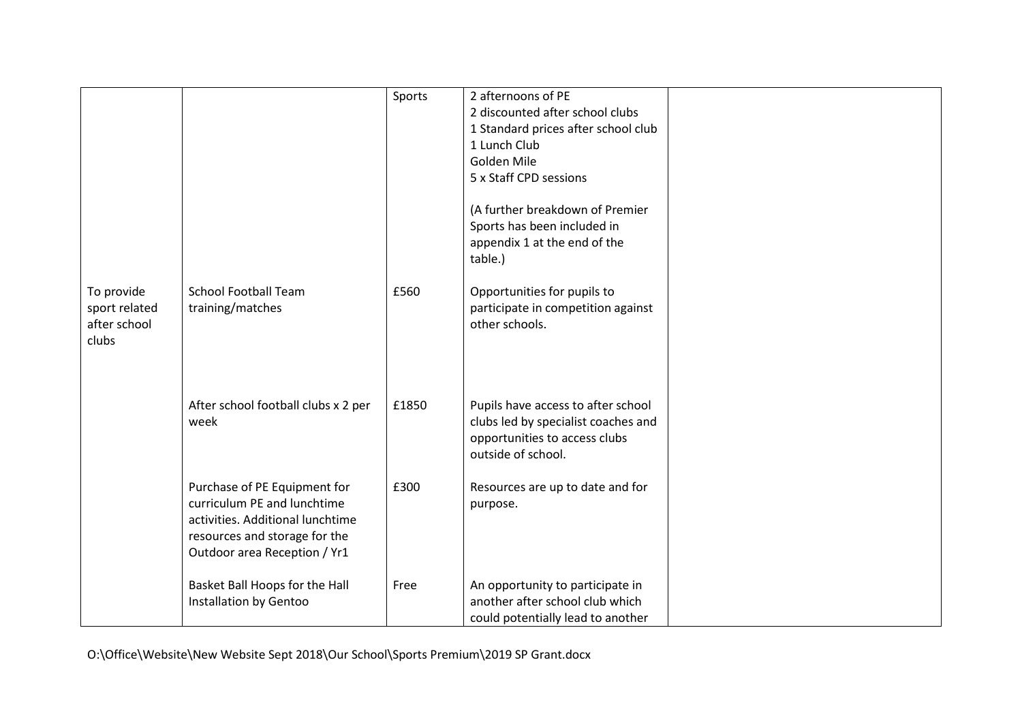|                                                      |                                                                                                                                                                  | Sports | 2 afternoons of PE<br>2 discounted after school clubs<br>1 Standard prices after school club<br>1 Lunch Club<br>Golden Mile<br>5 x Staff CPD sessions<br>(A further breakdown of Premier<br>Sports has been included in<br>appendix 1 at the end of the<br>table.) |  |
|------------------------------------------------------|------------------------------------------------------------------------------------------------------------------------------------------------------------------|--------|--------------------------------------------------------------------------------------------------------------------------------------------------------------------------------------------------------------------------------------------------------------------|--|
| To provide<br>sport related<br>after school<br>clubs | <b>School Football Team</b><br>training/matches                                                                                                                  | £560   | Opportunities for pupils to<br>participate in competition against<br>other schools.                                                                                                                                                                                |  |
|                                                      | After school football clubs x 2 per<br>week                                                                                                                      | £1850  | Pupils have access to after school<br>clubs led by specialist coaches and<br>opportunities to access clubs<br>outside of school.                                                                                                                                   |  |
|                                                      | Purchase of PE Equipment for<br>curriculum PE and lunchtime<br>activities. Additional lunchtime<br>resources and storage for the<br>Outdoor area Reception / Yr1 | £300   | Resources are up to date and for<br>purpose.                                                                                                                                                                                                                       |  |
|                                                      | Basket Ball Hoops for the Hall<br>Installation by Gentoo                                                                                                         | Free   | An opportunity to participate in<br>another after school club which<br>could potentially lead to another                                                                                                                                                           |  |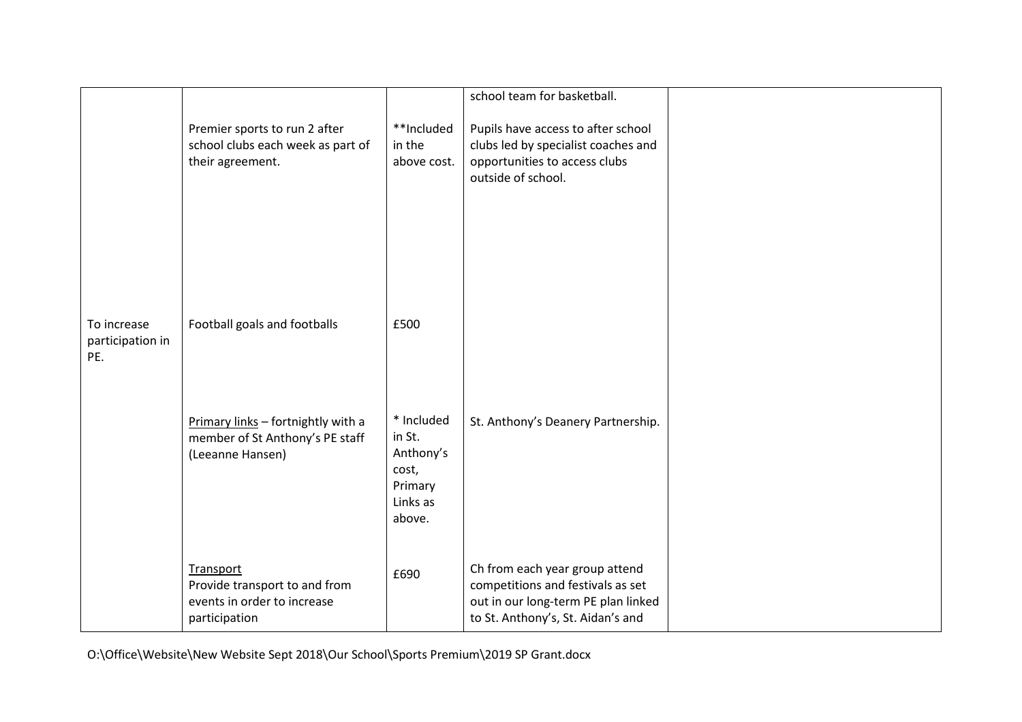|                                        |                                                                                            |                                                                             | school team for basketball.                                                                                                                     |  |
|----------------------------------------|--------------------------------------------------------------------------------------------|-----------------------------------------------------------------------------|-------------------------------------------------------------------------------------------------------------------------------------------------|--|
|                                        | Premier sports to run 2 after<br>school clubs each week as part of<br>their agreement.     | **Included<br>in the<br>above cost.                                         | Pupils have access to after school<br>clubs led by specialist coaches and<br>opportunities to access clubs<br>outside of school.                |  |
|                                        |                                                                                            |                                                                             |                                                                                                                                                 |  |
| To increase<br>participation in<br>PE. | Football goals and footballs                                                               | £500                                                                        |                                                                                                                                                 |  |
|                                        | Primary links - fortnightly with a<br>member of St Anthony's PE staff<br>(Leeanne Hansen)  | * Included<br>in St.<br>Anthony's<br>cost,<br>Primary<br>Links as<br>above. | St. Anthony's Deanery Partnership.                                                                                                              |  |
|                                        | Transport<br>Provide transport to and from<br>events in order to increase<br>participation | £690                                                                        | Ch from each year group attend<br>competitions and festivals as set<br>out in our long-term PE plan linked<br>to St. Anthony's, St. Aidan's and |  |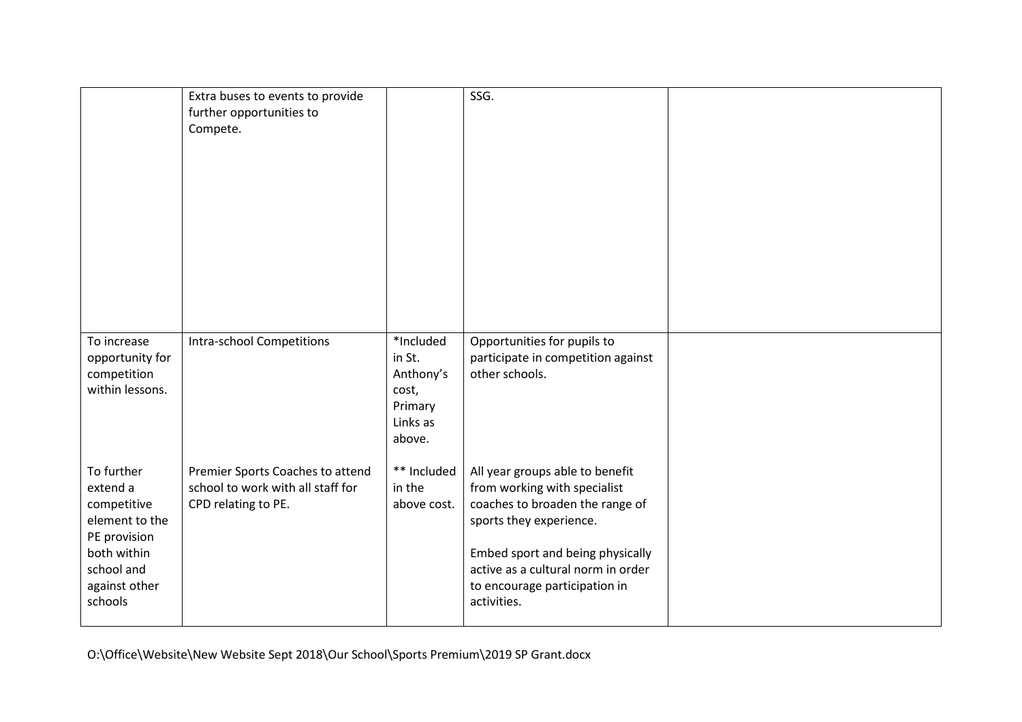|                                                                                                                                  | Extra buses to events to provide<br>further opportunities to<br>Compete.                     |                                                                            | SSG.                                                                                                                                                                                                                                                    |  |
|----------------------------------------------------------------------------------------------------------------------------------|----------------------------------------------------------------------------------------------|----------------------------------------------------------------------------|---------------------------------------------------------------------------------------------------------------------------------------------------------------------------------------------------------------------------------------------------------|--|
| To increase<br>opportunity for<br>competition<br>within lessons.                                                                 | <b>Intra-school Competitions</b>                                                             | *Included<br>in St.<br>Anthony's<br>cost,<br>Primary<br>Links as<br>above. | Opportunities for pupils to<br>participate in competition against<br>other schools.                                                                                                                                                                     |  |
| To further<br>extend a<br>competitive<br>element to the<br>PE provision<br>both within<br>school and<br>against other<br>schools | Premier Sports Coaches to attend<br>school to work with all staff for<br>CPD relating to PE. | ** Included<br>in the<br>above cost.                                       | All year groups able to benefit<br>from working with specialist<br>coaches to broaden the range of<br>sports they experience.<br>Embed sport and being physically<br>active as a cultural norm in order<br>to encourage participation in<br>activities. |  |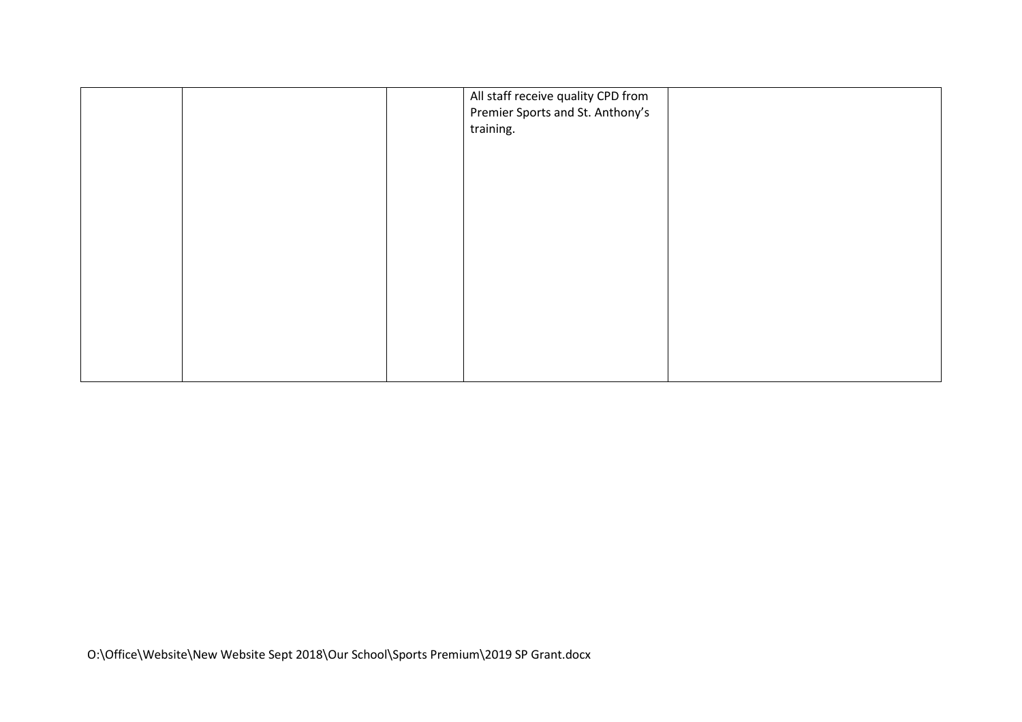|  | All staff receive quality CPD from<br>Premier Sports and St. Anthony's<br>training. |  |
|--|-------------------------------------------------------------------------------------|--|
|  |                                                                                     |  |
|  |                                                                                     |  |
|  |                                                                                     |  |
|  |                                                                                     |  |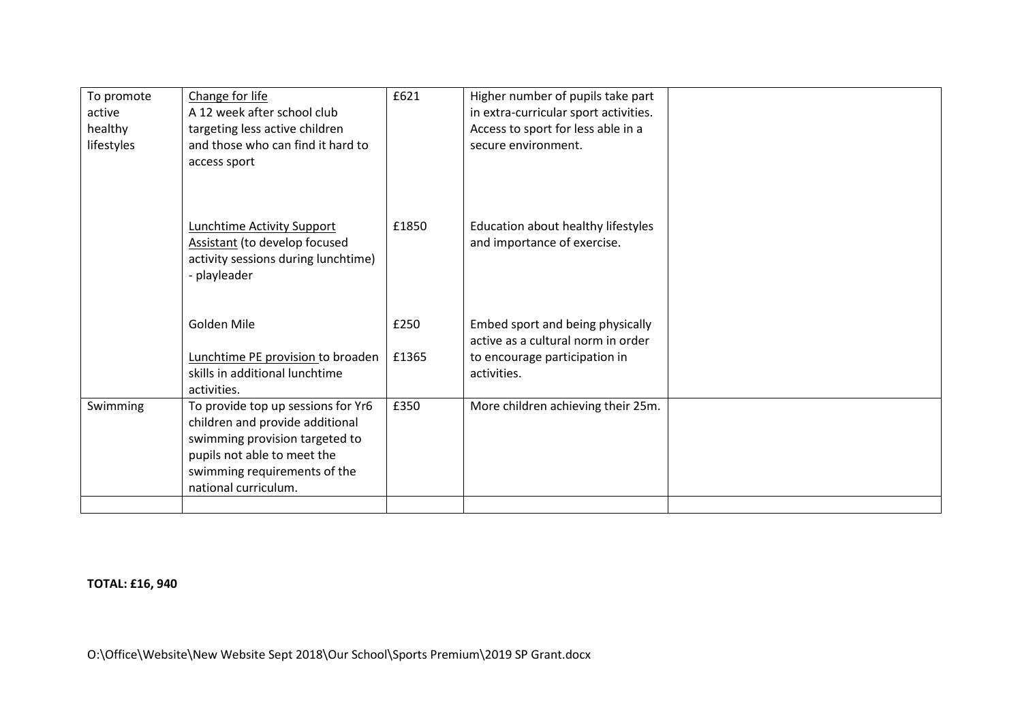| To promote | Change for life                      | £621  | Higher number of pupils take part     |  |
|------------|--------------------------------------|-------|---------------------------------------|--|
| active     | A 12 week after school club          |       | in extra-curricular sport activities. |  |
| healthy    | targeting less active children       |       | Access to sport for less able in a    |  |
| lifestyles | and those who can find it hard to    |       | secure environment.                   |  |
|            | access sport                         |       |                                       |  |
|            |                                      |       |                                       |  |
|            |                                      |       |                                       |  |
|            |                                      |       |                                       |  |
|            | <b>Lunchtime Activity Support</b>    | £1850 | Education about healthy lifestyles    |  |
|            | <b>Assistant</b> (to develop focused |       | and importance of exercise.           |  |
|            | activity sessions during lunchtime)  |       |                                       |  |
|            | - playleader                         |       |                                       |  |
|            |                                      |       |                                       |  |
|            | Golden Mile                          | £250  | Embed sport and being physically      |  |
|            |                                      |       | active as a cultural norm in order    |  |
|            | Lunchtime PE provision to broaden    | £1365 | to encourage participation in         |  |
|            | skills in additional lunchtime       |       | activities.                           |  |
|            | activities.                          |       |                                       |  |
| Swimming   | To provide top up sessions for Yr6   | £350  | More children achieving their 25m.    |  |
|            | children and provide additional      |       |                                       |  |
|            | swimming provision targeted to       |       |                                       |  |
|            | pupils not able to meet the          |       |                                       |  |
|            | swimming requirements of the         |       |                                       |  |
|            | national curriculum.                 |       |                                       |  |
|            |                                      |       |                                       |  |

**TOTAL: £16, 940**